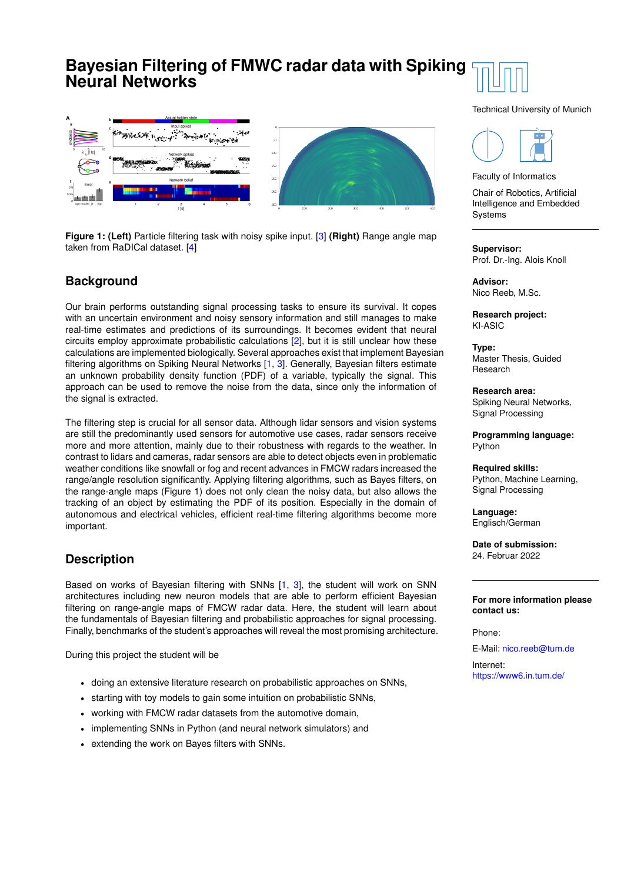## **Bayesian Filtering of FMWC radar data with Spiking Neural Networks**



**Figure 1: (Left)** Particle filtering task with noisy spike input. [\[3\]](#page-1-0) **(Right)** Range angle map taken from RaDICal dataset. [\[4\]](#page-1-1)

## **Background**

Our brain performs outstanding signal processing tasks to ensure its survival. It copes with an uncertain environment and noisy sensory information and still manages to make real-time estimates and predictions of its surroundings. It becomes evident that neural circuits employ approximate probabilistic calculations [\[2\]](#page-1-2), but it is still unclear how these calculations are implemented biologically. Several approaches exist that implement Bayesian filtering algorithms on Spiking Neural Networks [\[1,](#page-1-3) [3\]](#page-1-0). Generally, Bayesian filters estimate an unknown probability density function (PDF) of a variable, typically the signal. This approach can be used to remove the noise from the data, since only the information of the signal is extracted.

The filtering step is crucial for all sensor data. Although lidar sensors and vision systems are still the predominantly used sensors for automotive use cases, radar sensors receive more and more attention, mainly due to their robustness with regards to the weather. In contrast to lidars and cameras, radar sensors are able to detect objects even in problematic weather conditions like snowfall or fog and recent advances in FMCW radars increased the range/angle resolution significantly. Applying filtering algorithms, such as Bayes filters, on the range-angle maps (Figure 1) does not only clean the noisy data, but also allows the tracking of an object by estimating the PDF of its position. Especially in the domain of autonomous and electrical vehicles, efficient real-time filtering algorithms become more important.

## **Description**

Based on works of Bayesian filtering with SNNs [\[1,](#page-1-3) [3\]](#page-1-0), the student will work on SNN architectures including new neuron models that are able to perform efficient Bayesian filtering on range-angle maps of FMCW radar data. Here, the student will learn about the fundamentals of Bayesian filtering and probabilistic approaches for signal processing. Finally, benchmarks of the student's approaches will reveal the most promising architecture.

During this project the student will be

- doing an extensive literature research on probabilistic approaches on SNNs,
- starting with toy models to gain some intuition on probabilistic SNNs,
- working with FMCW radar datasets from the automotive domain,
- implementing SNNs in Python (and neural network simulators) and
- extending the work on Bayes filters with SNNs.

Technical University of Munich



Faculty of Informatics

Chair of Robotics, Artificial Intelligence and Embedded **Systems** 

**Supervisor:** Prof. Dr.-Ing. Alois Knoll

**Advisor:** Nico Reeb, M.Sc.

**Research project:** KI-ASIC

**Type:** Master Thesis, Guided Research

**Research area:** Spiking Neural Networks, Signal Processing

**Programming language:** Python

**Required skills:** Python, Machine Learning, Signal Processing

**Language:** Englisch/German

**Date of submission:** 24. Februar 2022

**For more information please contact us:**

Phone:

E-Mail: [nico.reeb@tum.de](mailto:nico.reeb@tum.de)

Internet: [https://www6.in.tum.de/](http://https://www6.in.tum.de//)